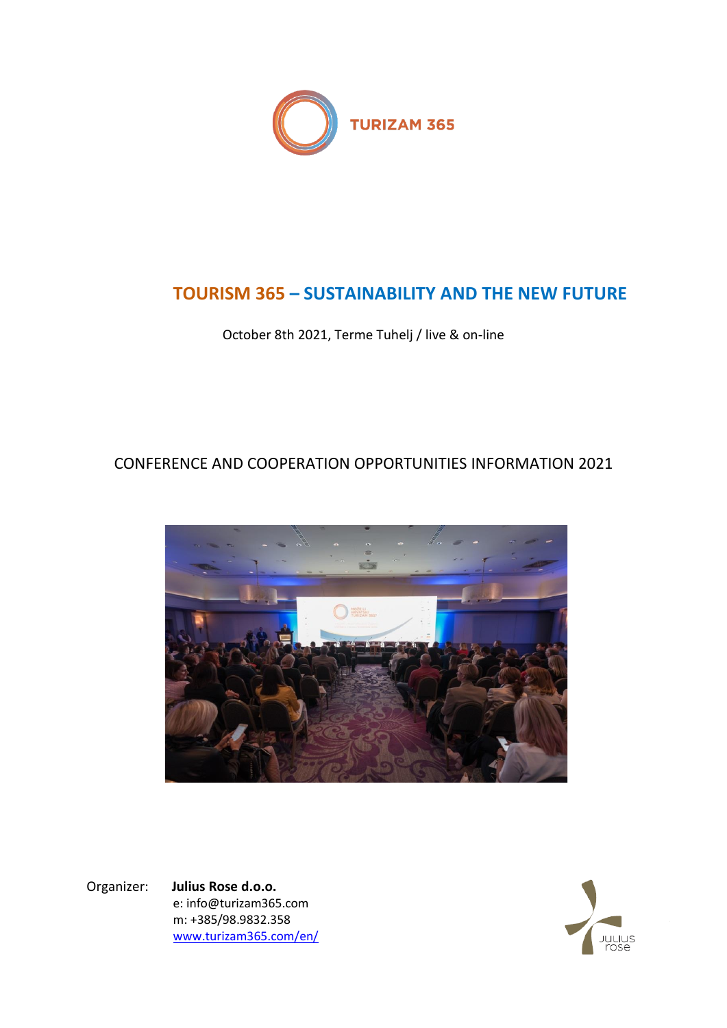

# **TOURISM 365 – SUSTAINABILITY AND THE NEW FUTURE**

October 8th 2021, Terme Tuhelj / live & on-line

## CONFERENCE AND COOPERATION OPPORTUNITIES INFORMATION 2021



Organizer: **Julius Rose d.o.o.** e: info@turizam365.com m: +385/98.9832.358 [www.turizam365.com/](http://www.turizam365.com/)en/

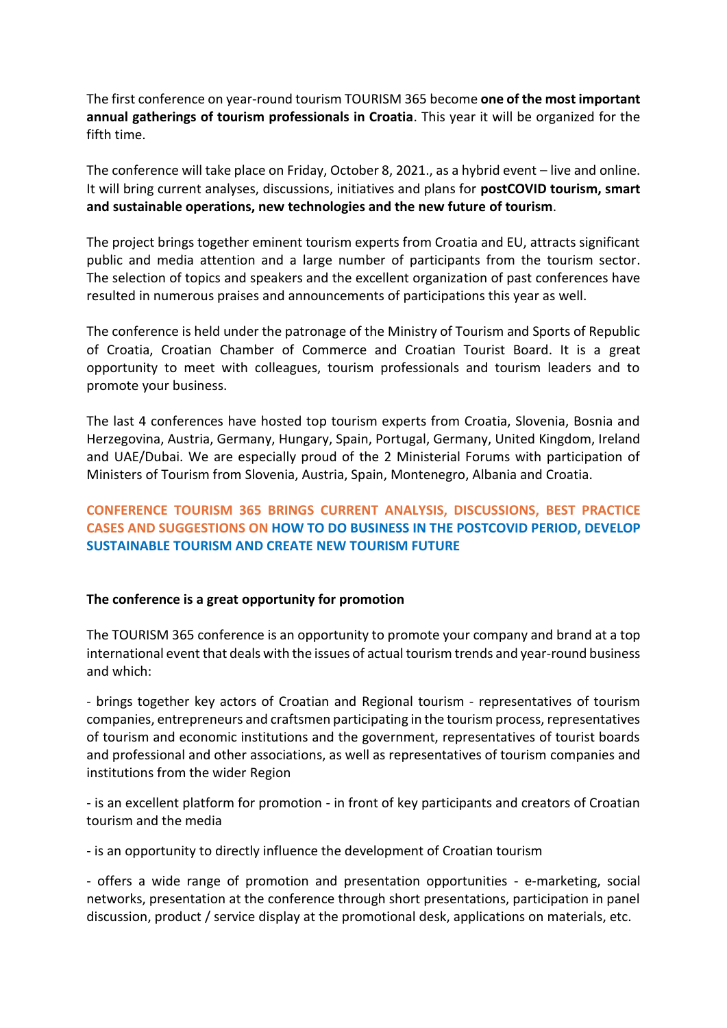The first conference on year-round tourism TOURISM 365 become **one of the most important annual gatherings of tourism professionals in Croatia**. This year it will be organized for the fifth time.

The conference will take place on Friday, October 8, 2021., as a hybrid event – live and online. It will bring current analyses, discussions, initiatives and plans for **postCOVID tourism, smart and sustainable operations, new technologies and the new future of tourism**.

The project brings together eminent tourism experts from Croatia and EU, attracts significant public and media attention and a large number of participants from the tourism sector. The selection of topics and speakers and the excellent organization of past conferences have resulted in numerous praises and announcements of participations this year as well.

The conference is held under the patronage of the Ministry of Tourism and Sports of Republic of Croatia, Croatian Chamber of Commerce and Croatian Tourist Board. It is a great opportunity to meet with colleagues, tourism professionals and tourism leaders and to promote your business.

The last 4 conferences have hosted top tourism experts from Croatia, Slovenia, Bosnia and Herzegovina, Austria, Germany, Hungary, Spain, Portugal, Germany, United Kingdom, Ireland and UAE/Dubai. We are especially proud of the 2 Ministerial Forums with participation of Ministers of Tourism from Slovenia, Austria, Spain, Montenegro, Albania and Croatia.

## **CONFERENCE TOURISM 365 BRINGS CURRENT ANALYSIS, DISCUSSIONS, BEST PRACTICE CASES AND SUGGESTIONS ON HOW TO DO BUSINESS IN THE POSTCOVID PERIOD, DEVELOP SUSTAINABLE TOURISM AND CREATE NEW TOURISM FUTURE**

#### **The conference is a great opportunity for promotion**

The TOURISM 365 conference is an opportunity to promote your company and brand at a top international event that deals with the issues of actual tourism trends and year-round business and which:

- brings together key actors of Croatian and Regional tourism - representatives of tourism companies, entrepreneurs and craftsmen participating in the tourism process, representatives of tourism and economic institutions and the government, representatives of tourist boards and professional and other associations, as well as representatives of tourism companies and institutions from the wider Region

- is an excellent platform for promotion - in front of key participants and creators of Croatian tourism and the media

- is an opportunity to directly influence the development of Croatian tourism

- offers a wide range of promotion and presentation opportunities - e-marketing, social networks, presentation at the conference through short presentations, participation in panel discussion, product / service display at the promotional desk, applications on materials, etc.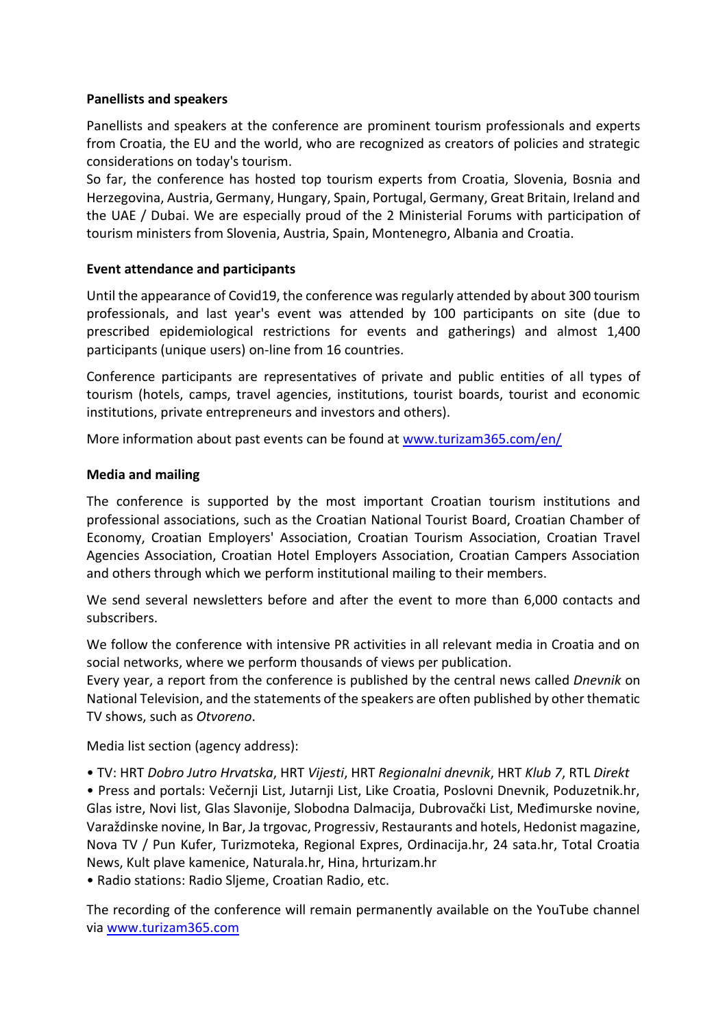#### **Panellists and speakers**

Panellists and speakers at the conference are prominent tourism professionals and experts from Croatia, the EU and the world, who are recognized as creators of policies and strategic considerations on today's tourism.

So far, the conference has hosted top tourism experts from Croatia, Slovenia, Bosnia and Herzegovina, Austria, Germany, Hungary, Spain, Portugal, Germany, Great Britain, Ireland and the UAE / Dubai. We are especially proud of the 2 Ministerial Forums with participation of tourism ministers from Slovenia, Austria, Spain, Montenegro, Albania and Croatia.

### **Event attendance and participants**

Until the appearance of Covid19, the conference was regularly attended by about 300 tourism professionals, and last year's event was attended by 100 participants on site (due to prescribed epidemiological restrictions for events and gatherings) and almost 1,400 participants (unique users) on-line from 16 countries.

Conference participants are representatives of private and public entities of all types of tourism (hotels, camps, travel agencies, institutions, tourist boards, tourist and economic institutions, private entrepreneurs and investors and others).

More information about past events can be found at [www.turizam365.com/en/](http://www.turizam365.com/en/)

### **Media and mailing**

The conference is supported by the most important Croatian tourism institutions and professional associations, such as the Croatian National Tourist Board, Croatian Chamber of Economy, Croatian Employers' Association, Croatian Tourism Association, Croatian Travel Agencies Association, Croatian Hotel Employers Association, Croatian Campers Association and others through which we perform institutional mailing to their members.

We send several newsletters before and after the event to more than 6,000 contacts and subscribers.

We follow the conference with intensive PR activities in all relevant media in Croatia and on social networks, where we perform thousands of views per publication.

Every year, a report from the conference is published by the central news called *Dnevnik* on National Television, and the statements of the speakers are often published by other thematic TV shows, such as *Otvoreno*.

Media list section (agency address):

• TV: HRT *Dobro Jutro Hrvatska*, HRT *Vijesti*, HRT *Regionalni dnevnik*, HRT *Klub 7*, RTL *Direkt*

• Press and portals: Večernji List, Jutarnji List, Like Croatia, Poslovni Dnevnik, Poduzetnik.hr, Glas istre, Novi list, Glas Slavonije, Slobodna Dalmacija, Dubrovački List, Međimurske novine, Varaždinske novine, In Bar, Ja trgovac, Progressiv, Restaurants and hotels, Hedonist magazine, Nova TV / Pun Kufer, Turizmoteka, Regional Expres, Ordinacija.hr, 24 sata.hr, Total Croatia News, Kult plave kamenice, Naturala.hr, Hina, hrturizam.hr

• Radio stations: Radio Sljeme, Croatian Radio, etc.

The recording of the conference will remain permanently available on the YouTube channel via [www.turizam365.com](http://www.turizam365.com/)